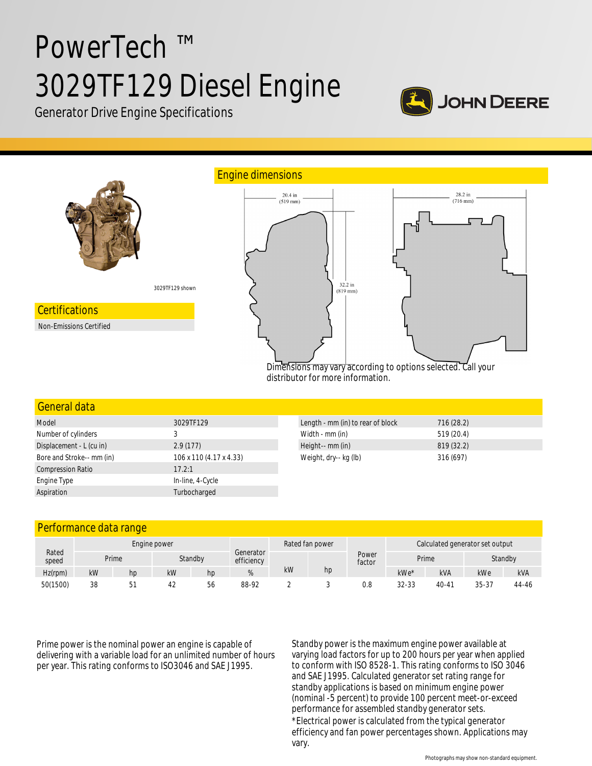# PowerTech ™ 3029TF129 Diesel Engine



Generator Drive Engine Specifications



# General data

| Model                     | 3029TF129               | Length - mm (in) to rear of block | 716(28.2)  |
|---------------------------|-------------------------|-----------------------------------|------------|
| Number of cylinders       |                         | Width - mm (in)                   | 519 (20.4) |
| Displacement - L (cu in)  | 2.9(177)                | Height-- mm (in)                  | 819 (32.2) |
| Bore and Stroke-- mm (in) | 106 x 110 (4.17 x 4.33) | Weight, dry-- kg (lb)             | 316 (697)  |
| <b>Compression Ratio</b>  | 17.2:1                  |                                   |            |
| Engine Type               | In-line, 4-Cycle        |                                   |            |
| Aspiration                | Turbocharged            |                                   |            |

# Performance data range

|            | Engine power   |    |    | Rated fan power |                         |    |    | Calculated generator set output |           |            |         |            |
|------------|----------------|----|----|-----------------|-------------------------|----|----|---------------------------------|-----------|------------|---------|------------|
| speed      | Rated<br>Prime |    |    | Standby         | Generator<br>efficiency |    |    | Power<br>factor                 | Prime     |            | Standby |            |
| $Hz$ (rpm) | kW             | hp | kW | hp              |                         | kW | hp |                                 | $kWe*$    | <b>kVA</b> | kWe     | <b>kVA</b> |
| 50(1500)   | 38             | 51 | 42 | 56              | 88-92                   |    |    | 0.8                             | $32 - 33$ | $40 - 47$  | 35-37   | 44-46      |

Prime power is the nominal power an engine is capable of delivering with a variable load for an unlimited number of hours per year. This rating conforms to ISO3046 and SAE J1995.

Standby power is the maximum engine power available at varying load factors for up to 200 hours per year when applied to conform with ISO 8528-1. This rating conforms to ISO 3046 and SAE J1995. Calculated generator set rating range for standby applications is based on minimum engine power (nominal -5 percent) to provide 100 percent meet-or-exceed performance for assembled standby generator sets. \*Electrical power is calculated from the typical generator efficiency and fan power percentages shown. Applications may vary.